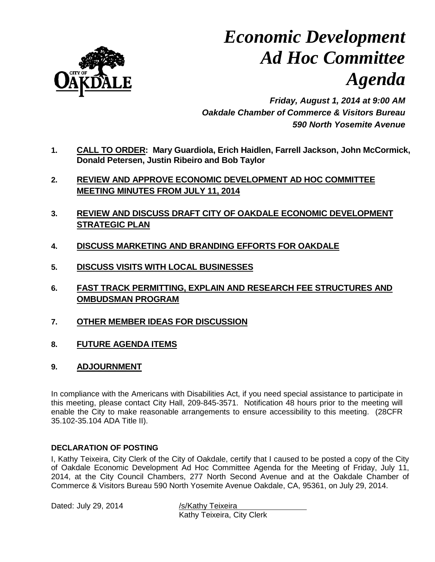

# *Economic Development Ad Hoc Committee Agenda*

*Friday, August 1, 2014 at 9:00 AM Oakdale Chamber of Commerce & Visitors Bureau 590 North Yosemite Avenue*

- **1. CALL TO ORDER: Mary Guardiola, Erich Haidlen, Farrell Jackson, John McCormick, Donald Petersen, Justin Ribeiro and Bob Taylor**
- **2. REVIEW AND APPROVE ECONOMIC DEVELOPMENT AD HOC COMMITTEE MEETING MINUTES FROM JULY 11, 2014**
- **3. REVIEW AND DISCUSS DRAFT CITY OF OAKDALE ECONOMIC DEVELOPMENT STRATEGIC PLAN**
- **4. DISCUSS MARKETING AND BRANDING EFFORTS FOR OAKDALE**
- **5. DISCUSS VISITS WITH LOCAL BUSINESSES**
- **6. FAST TRACK PERMITTING, EXPLAIN AND RESEARCH FEE STRUCTURES AND OMBUDSMAN PROGRAM**
- **7. OTHER MEMBER IDEAS FOR DISCUSSION**
- **8. FUTURE AGENDA ITEMS**
- **9. ADJOURNMENT**

In compliance with the Americans with Disabilities Act, if you need special assistance to participate in this meeting, please contact City Hall, 209-845-3571. Notification 48 hours prior to the meeting will enable the City to make reasonable arrangements to ensure accessibility to this meeting. (28CFR 35.102-35.104 ADA Title II).

#### **DECLARATION OF POSTING**

I, Kathy Teixeira, City Clerk of the City of Oakdale, certify that I caused to be posted a copy of the City of Oakdale Economic Development Ad Hoc Committee Agenda for the Meeting of Friday, July 11, 2014, at the City Council Chambers, 277 North Second Avenue and at the Oakdale Chamber of Commerce & Visitors Bureau 590 North Yosemite Avenue Oakdale, CA, 95361, on July 29, 2014.

Dated: July 29, 2014 /s/Kathy Teixeira

Kathy Teixeira, City Clerk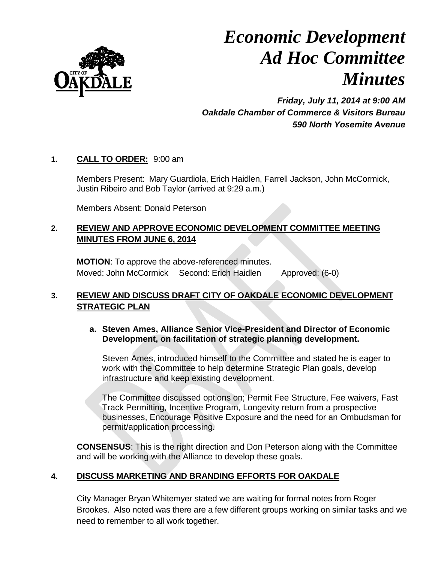

# *Economic Development Ad Hoc Committee Minutes*

*Friday, July 11, 2014 at 9:00 AM Oakdale Chamber of Commerce & Visitors Bureau 590 North Yosemite Avenue*

## **1. CALL TO ORDER:** 9:00 am

Members Present: Mary Guardiola, Erich Haidlen, Farrell Jackson, John McCormick, Justin Ribeiro and Bob Taylor (arrived at 9:29 a.m.)

Members Absent: Donald Peterson

## **2. REVIEW AND APPROVE ECONOMIC DEVELOPMENT COMMITTEE MEETING MINUTES FROM JUNE 6, 2014**

**MOTION**: To approve the above-referenced minutes. Moved: John McCormick Second: Erich Haidlen Approved: (6-0)

# **3. REVIEW AND DISCUSS DRAFT CITY OF OAKDALE ECONOMIC DEVELOPMENT STRATEGIC PLAN**

## **a. Steven Ames, Alliance Senior Vice-President and Director of Economic Development, on facilitation of strategic planning development.**

Steven Ames, introduced himself to the Committee and stated he is eager to work with the Committee to help determine Strategic Plan goals, develop infrastructure and keep existing development.

The Committee discussed options on; Permit Fee Structure, Fee waivers, Fast Track Permitting, Incentive Program, Longevity return from a prospective businesses, Encourage Positive Exposure and the need for an Ombudsman for permit/application processing.

**CONSENSUS**: This is the right direction and Don Peterson along with the Committee and will be working with the Alliance to develop these goals.

# **4. DISCUSS MARKETING AND BRANDING EFFORTS FOR OAKDALE**

City Manager Bryan Whitemyer stated we are waiting for formal notes from Roger Brookes. Also noted was there are a few different groups working on similar tasks and we need to remember to all work together.